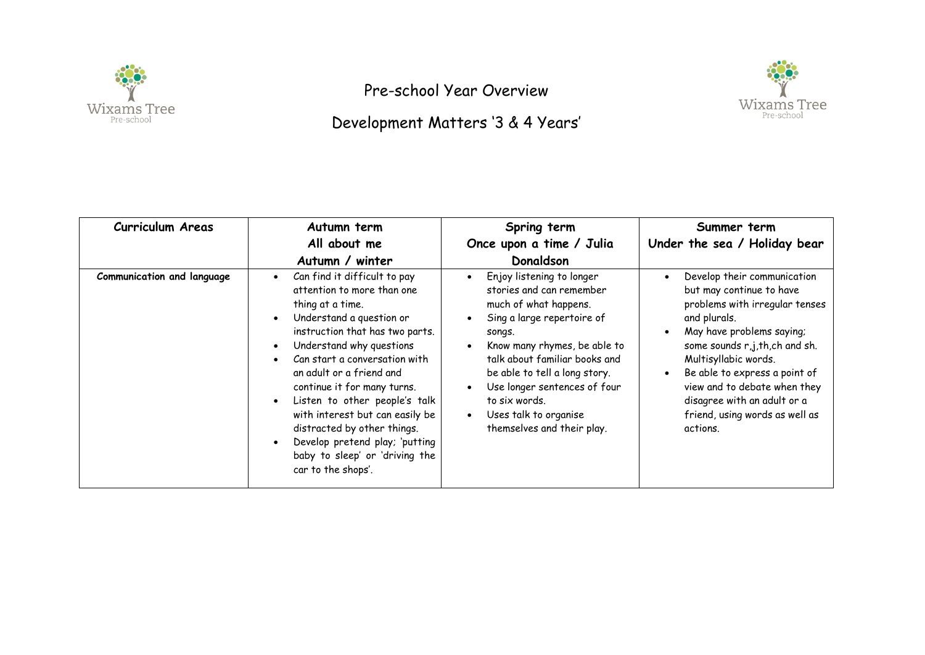

Pre-school Year Overview





| <b>Curriculum Areas</b>    | Autumn term<br>All about me<br>Autumn / winter                                                                                                                                                                                                                                                                                                                                                                                                                                                                                      | Spring term<br>Once upon a time / Julia<br>Donaldson                                                                                                                                                                                                                                                                                                                                              | Summer term<br>Under the sea / Holiday bear                                                                                                                                                                                                                                                                                                                |
|----------------------------|-------------------------------------------------------------------------------------------------------------------------------------------------------------------------------------------------------------------------------------------------------------------------------------------------------------------------------------------------------------------------------------------------------------------------------------------------------------------------------------------------------------------------------------|---------------------------------------------------------------------------------------------------------------------------------------------------------------------------------------------------------------------------------------------------------------------------------------------------------------------------------------------------------------------------------------------------|------------------------------------------------------------------------------------------------------------------------------------------------------------------------------------------------------------------------------------------------------------------------------------------------------------------------------------------------------------|
| Communication and language | Can find it difficult to pay<br>$\bullet$<br>attention to more than one<br>thing at a time.<br>Understand a question or<br>$\bullet$<br>instruction that has two parts.<br>Understand why questions<br>$\bullet$<br>Can start a conversation with<br>$\bullet$<br>an adult or a friend and<br>continue it for many turns.<br>Listen to other people's talk<br>$\bullet$<br>with interest but can easily be<br>distracted by other things.<br>Develop pretend play; 'putting<br>baby to sleep' or 'driving the<br>car to the shops'. | Enjoy listening to longer<br>$\bullet$<br>stories and can remember<br>much of what happens.<br>Sing a large repertoire of<br>$\bullet$<br>songs.<br>Know many rhymes, be able to<br>$\bullet$<br>talk about familiar books and<br>be able to tell a long story.<br>Use longer sentences of four<br>$\bullet$<br>to six words.<br>Uses talk to organise<br>$\bullet$<br>themselves and their play. | Develop their communication<br>but may continue to have<br>problems with irregular tenses<br>and plurals.<br>May have problems saying;<br>some sounds r,j,th,ch and sh.<br>Multisyllabic words.<br>Be able to express a point of<br>$\bullet$<br>view and to debate when they<br>disagree with an adult or a<br>friend, using words as well as<br>actions. |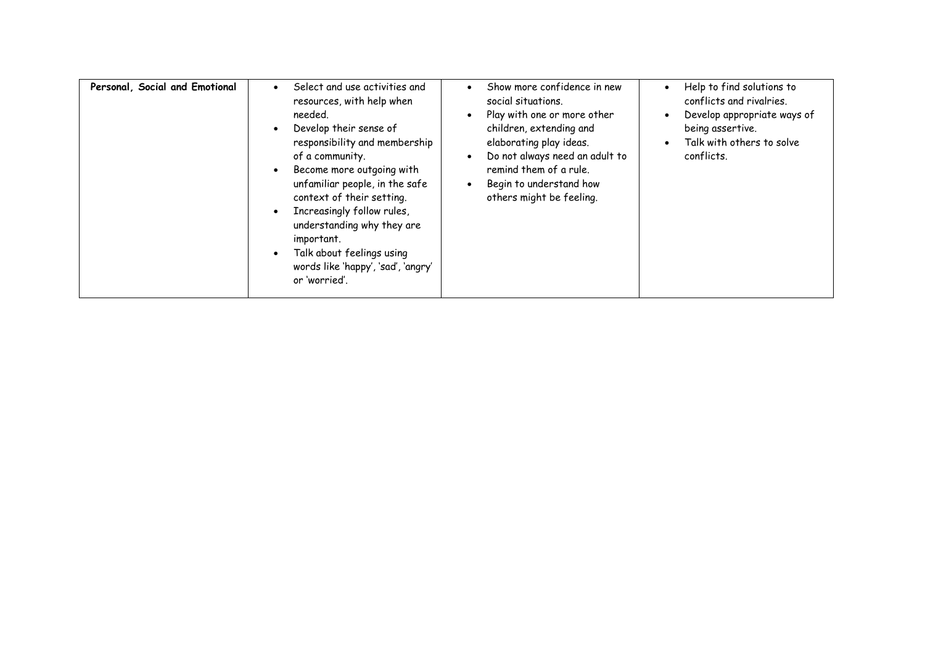| Personal, Social and Emotional | Select and use activities and<br>resources, with help when<br>needed.<br>Develop their sense of<br>responsibility and membership<br>of a community.<br>Become more outgoing with<br>unfamiliar people, in the safe<br>context of their setting.<br>Increasingly follow rules,<br>understanding why they are<br>important.<br>Talk about feelings using<br>words like 'happy', 'sad', 'angry'<br>or 'worried'. | Show more confidence in new<br>social situations.<br>Play with one or more other<br>children, extending and<br>elaborating play ideas.<br>Do not always need an adult to<br>remind them of a rule.<br>Begin to understand how<br>others might be feeling. | Help to find solutions to<br>$\bullet$<br>conflicts and rivalries.<br>Develop appropriate ways of<br>$\bullet$<br>being assertive.<br>Talk with others to solve<br>$\bullet$<br>conflicts. |
|--------------------------------|---------------------------------------------------------------------------------------------------------------------------------------------------------------------------------------------------------------------------------------------------------------------------------------------------------------------------------------------------------------------------------------------------------------|-----------------------------------------------------------------------------------------------------------------------------------------------------------------------------------------------------------------------------------------------------------|--------------------------------------------------------------------------------------------------------------------------------------------------------------------------------------------|
|--------------------------------|---------------------------------------------------------------------------------------------------------------------------------------------------------------------------------------------------------------------------------------------------------------------------------------------------------------------------------------------------------------------------------------------------------------|-----------------------------------------------------------------------------------------------------------------------------------------------------------------------------------------------------------------------------------------------------------|--------------------------------------------------------------------------------------------------------------------------------------------------------------------------------------------|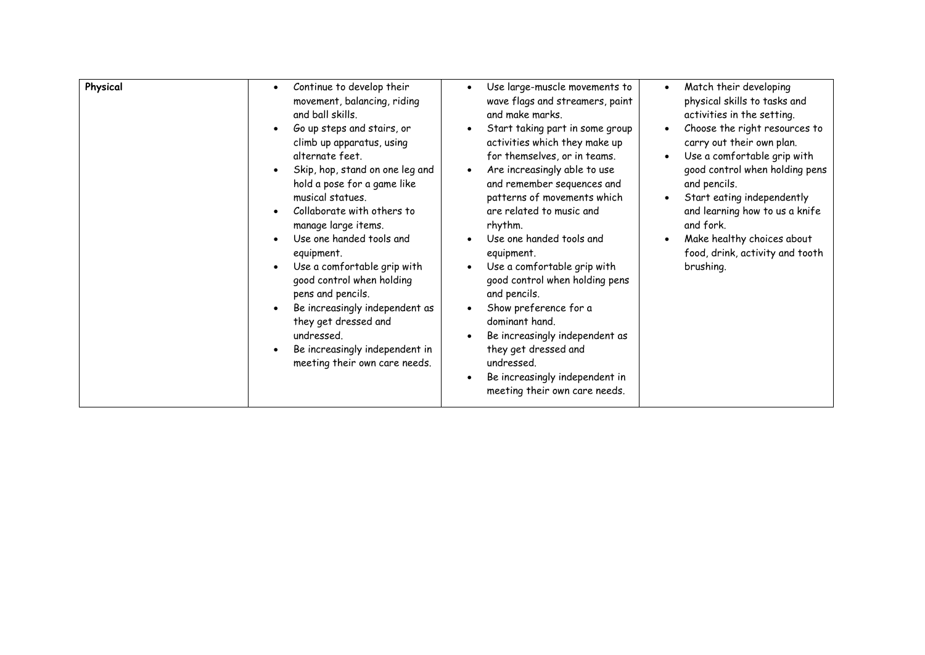| Physical | Continue to develop their<br>$\bullet$<br>movement, balancing, riding<br>and ball skills.<br>Go up steps and stairs, or<br>climb up apparatus, using<br>alternate feet.<br>Skip, hop, stand on one leg and<br>hold a pose for a game like<br>musical statues.<br>Collaborate with others to<br>manage large items.<br>Use one handed tools and<br>equipment.<br>Use a comfortable grip with<br>good control when holding<br>pens and pencils.<br>Be increasingly independent as<br>they get dressed and<br>undressed.<br>Be increasingly independent in<br>meeting their own care needs. | Use large-muscle movements to<br>wave flags and streamers, paint<br>and make marks.<br>Start taking part in some group<br>activities which they make up<br>for themselves, or in teams.<br>Are increasingly able to use<br>and remember sequences and<br>patterns of movements which<br>are related to music and<br>rhythm.<br>Use one handed tools and<br>equipment.<br>Use a comfortable grip with<br>good control when holding pens<br>and pencils.<br>Show preference for a<br>dominant hand.<br>Be increasingly independent as<br>they get dressed and<br>undressed.<br>Be increasingly independent in<br>meeting their own care needs. | Match their developing<br>$\bullet$<br>physical skills to tasks and<br>activities in the setting.<br>Choose the right resources to<br>$\bullet$<br>carry out their own plan.<br>Use a comfortable grip with<br>$\bullet$<br>good control when holding pens<br>and pencils.<br>Start eating independently<br>and learning how to us a knife<br>and fork.<br>Make healthy choices about<br>food, drink, activity and tooth<br>brushing. |
|----------|------------------------------------------------------------------------------------------------------------------------------------------------------------------------------------------------------------------------------------------------------------------------------------------------------------------------------------------------------------------------------------------------------------------------------------------------------------------------------------------------------------------------------------------------------------------------------------------|----------------------------------------------------------------------------------------------------------------------------------------------------------------------------------------------------------------------------------------------------------------------------------------------------------------------------------------------------------------------------------------------------------------------------------------------------------------------------------------------------------------------------------------------------------------------------------------------------------------------------------------------|---------------------------------------------------------------------------------------------------------------------------------------------------------------------------------------------------------------------------------------------------------------------------------------------------------------------------------------------------------------------------------------------------------------------------------------|
|----------|------------------------------------------------------------------------------------------------------------------------------------------------------------------------------------------------------------------------------------------------------------------------------------------------------------------------------------------------------------------------------------------------------------------------------------------------------------------------------------------------------------------------------------------------------------------------------------------|----------------------------------------------------------------------------------------------------------------------------------------------------------------------------------------------------------------------------------------------------------------------------------------------------------------------------------------------------------------------------------------------------------------------------------------------------------------------------------------------------------------------------------------------------------------------------------------------------------------------------------------------|---------------------------------------------------------------------------------------------------------------------------------------------------------------------------------------------------------------------------------------------------------------------------------------------------------------------------------------------------------------------------------------------------------------------------------------|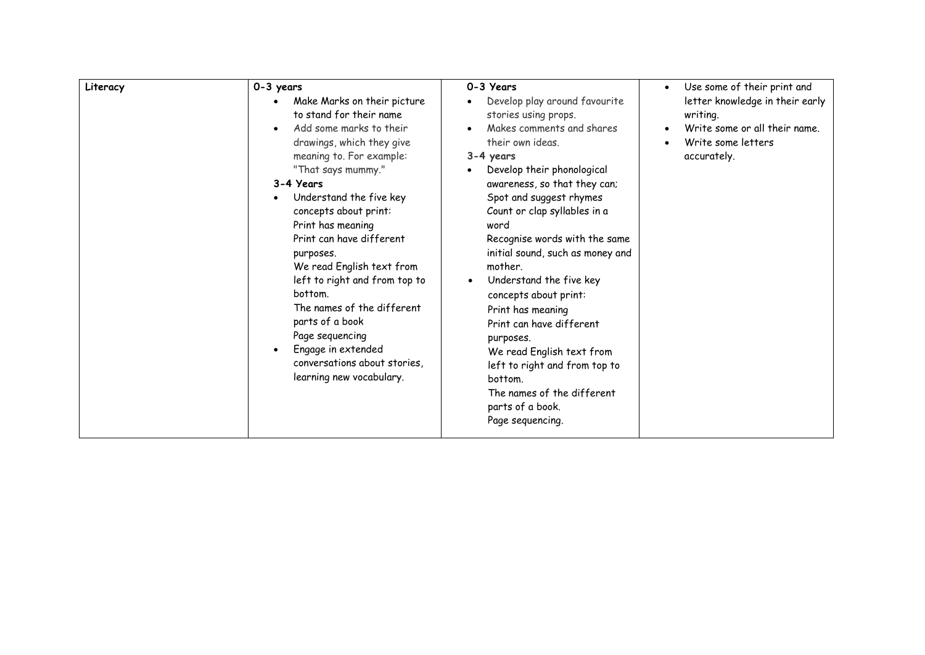| 0-3 years<br>Literacy                                                                                                                                                                                                                                                                                                                                                                                                                                                                                                          | 0-3 Years                                                                                                                                                                                                                                                                                                                                                                                                                                                                                                                                                                                             | Use some of their print and<br>$\bullet$                                                                          |
|--------------------------------------------------------------------------------------------------------------------------------------------------------------------------------------------------------------------------------------------------------------------------------------------------------------------------------------------------------------------------------------------------------------------------------------------------------------------------------------------------------------------------------|-------------------------------------------------------------------------------------------------------------------------------------------------------------------------------------------------------------------------------------------------------------------------------------------------------------------------------------------------------------------------------------------------------------------------------------------------------------------------------------------------------------------------------------------------------------------------------------------------------|-------------------------------------------------------------------------------------------------------------------|
| Make Marks on their picture<br>to stand for their name<br>Add some marks to their<br>drawings, which they give<br>meaning to. For example:<br>"That says mummy."<br>3-4 Years<br>Understand the five key<br>concepts about print:<br>Print has meaning<br>Print can have different<br>purposes.<br>We read English text from<br>left to right and from top to<br>bottom.<br>The names of the different<br>parts of a book<br>Page sequencing<br>Engage in extended<br>conversations about stories,<br>learning new vocabulary. | Develop play around favourite<br>stories using props.<br>Makes comments and shares<br>their own ideas.<br>3-4 years<br>Develop their phonological<br>awareness, so that they can;<br>Spot and suggest rhymes<br>Count or clap syllables in a<br>word<br>Recognise words with the same<br>initial sound, such as money and<br>mother.<br>Understand the five key<br>concepts about print:<br>Print has meaning<br>Print can have different<br>purposes.<br>We read English text from<br>left to right and from top to<br>bottom.<br>The names of the different<br>parts of a book.<br>Page sequencing. | letter knowledge in their early<br>writing.<br>Write some or all their name.<br>Write some letters<br>accurately. |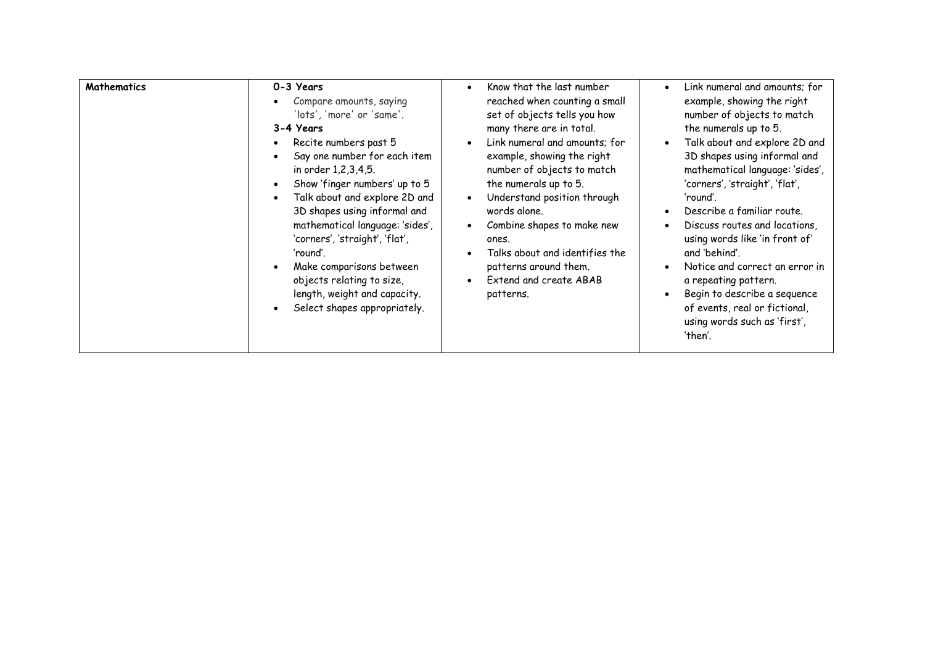| <b>Mathematics</b> | 0-3 Years<br>Compare amounts, saying<br>'lots', 'more' or 'same'.<br>3-4 Years<br>Recite numbers past 5<br>Say one number for each item<br>in order 1,2,3,4,5.<br>Show 'finger numbers' up to 5<br>Talk about and explore 2D and<br>3D shapes using informal and<br>mathematical language: 'sides',<br>'corners', 'straight', 'flat',<br>'round'.<br>Make comparisons between<br>objects relating to size,<br>length, weight and capacity.<br>Select shapes appropriately. | Know that the last number<br>$\bullet$<br>reached when counting a small<br>set of objects tells you how<br>many there are in total.<br>Link numeral and amounts; for<br>$\bullet$<br>example, showing the right<br>number of objects to match<br>the numerals up to 5.<br>Understand position through<br>$\bullet$<br>words alone.<br>Combine shapes to make new<br>$\bullet$<br>ones.<br>Talks about and identifies the<br>$\bullet$<br>patterns around them.<br>Extend and create ABAB<br>$\bullet$<br>patterns. | Link numeral and amounts; for<br>example, showing the right<br>number of objects to match<br>the numerals up to 5.<br>Talk about and explore 2D and<br>3D shapes using informal and<br>mathematical language: 'sides',<br>'corners', 'straight', 'flat',<br>'round'.<br>Describe a familiar route.<br>Discuss routes and locations,<br>using words like 'in front of'<br>and 'behind'.<br>Notice and correct an error in<br>a repeating pattern.<br>Begin to describe a sequence<br>of events, real or fictional,<br>using words such as 'first',<br>'then'. |
|--------------------|----------------------------------------------------------------------------------------------------------------------------------------------------------------------------------------------------------------------------------------------------------------------------------------------------------------------------------------------------------------------------------------------------------------------------------------------------------------------------|--------------------------------------------------------------------------------------------------------------------------------------------------------------------------------------------------------------------------------------------------------------------------------------------------------------------------------------------------------------------------------------------------------------------------------------------------------------------------------------------------------------------|--------------------------------------------------------------------------------------------------------------------------------------------------------------------------------------------------------------------------------------------------------------------------------------------------------------------------------------------------------------------------------------------------------------------------------------------------------------------------------------------------------------------------------------------------------------|
|--------------------|----------------------------------------------------------------------------------------------------------------------------------------------------------------------------------------------------------------------------------------------------------------------------------------------------------------------------------------------------------------------------------------------------------------------------------------------------------------------------|--------------------------------------------------------------------------------------------------------------------------------------------------------------------------------------------------------------------------------------------------------------------------------------------------------------------------------------------------------------------------------------------------------------------------------------------------------------------------------------------------------------------|--------------------------------------------------------------------------------------------------------------------------------------------------------------------------------------------------------------------------------------------------------------------------------------------------------------------------------------------------------------------------------------------------------------------------------------------------------------------------------------------------------------------------------------------------------------|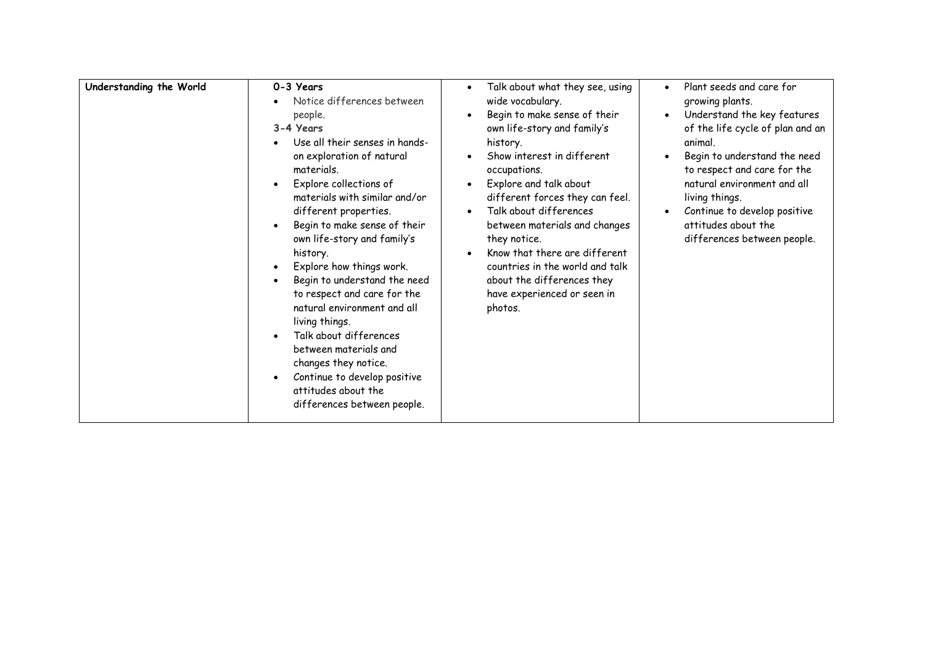| Understanding the World | 0-3 Years<br>Notice differences between<br>people.<br>3-4 Years<br>Use all their senses in hands-<br>on exploration of natural<br>materials.<br>Explore collections of<br>materials with similar and/or<br>different properties.<br>Begin to make sense of their<br>own life-story and family's<br>history.<br>Explore how things work.<br>Begin to understand the need<br>to respect and care for the<br>natural environment and all<br>living things.<br>Talk about differences<br>between materials and<br>changes they notice.<br>Continue to develop positive<br>attitudes about the<br>differences between people. | Talk about what they see, using<br>$\bullet$<br>wide vocabulary.<br>Begin to make sense of their<br>own life-story and family's<br>history.<br>Show interest in different<br>occupations.<br>Explore and talk about<br>different forces they can feel.<br>Talk about differences<br>between materials and changes<br>they notice.<br>Know that there are different<br>countries in the world and talk<br>about the differences they<br>have experienced or seen in<br>photos. | Plant seeds and care for<br>$\bullet$<br>growing plants.<br>Understand the key features<br>$\bullet$<br>of the life cycle of plan and an<br>animal.<br>Begin to understand the need<br>to respect and care for the<br>natural environment and all<br>living things.<br>Continue to develop positive<br>attitudes about the<br>differences between people. |
|-------------------------|--------------------------------------------------------------------------------------------------------------------------------------------------------------------------------------------------------------------------------------------------------------------------------------------------------------------------------------------------------------------------------------------------------------------------------------------------------------------------------------------------------------------------------------------------------------------------------------------------------------------------|-------------------------------------------------------------------------------------------------------------------------------------------------------------------------------------------------------------------------------------------------------------------------------------------------------------------------------------------------------------------------------------------------------------------------------------------------------------------------------|-----------------------------------------------------------------------------------------------------------------------------------------------------------------------------------------------------------------------------------------------------------------------------------------------------------------------------------------------------------|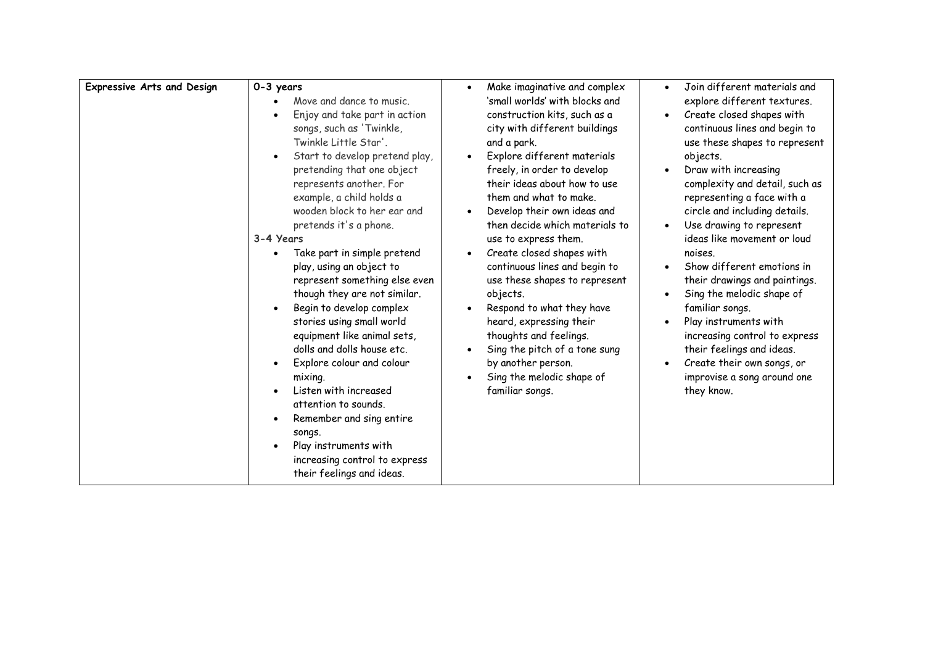| <b>Expressive Arts and Design</b> | 0-3 years<br>Move and dance to music.<br>Enjoy and take part in action<br>songs, such as 'Twinkle,<br>Twinkle Little Star'.<br>Start to develop pretend play,<br>pretending that one object<br>represents another. For<br>example, a child holds a<br>wooden block to her ear and<br>pretends it's a phone.<br>3-4 Years<br>Take part in simple pretend<br>play, using an object to<br>represent something else even<br>though they are not similar.<br>Begin to develop complex<br>stories using small world<br>equipment like animal sets,<br>dolls and dolls house etc.<br>Explore colour and colour<br>mixing.<br>Listen with increased<br>attention to sounds.<br>Remember and sing entire<br>songs.<br>Play instruments with<br>increasing control to express<br>their feelings and ideas. | Make imaginative and complex<br>$\bullet$<br>'small worlds' with blocks and<br>construction kits, such as a<br>city with different buildings<br>and a park.<br>Explore different materials<br>$\bullet$<br>freely, in order to develop<br>their ideas about how to use<br>them and what to make.<br>Develop their own ideas and<br>$\bullet$<br>then decide which materials to<br>use to express them.<br>Create closed shapes with<br>$\bullet$<br>continuous lines and begin to<br>use these shapes to represent<br>objects.<br>Respond to what they have<br>$\bullet$<br>heard, expressing their<br>thoughts and feelings.<br>Sing the pitch of a tone sung<br>by another person.<br>Sing the melodic shape of<br>familiar songs. | Join different materials and<br>explore different textures.<br>Create closed shapes with<br>continuous lines and begin to<br>use these shapes to represent<br>objects.<br>Draw with increasing<br>complexity and detail, such as<br>representing a face with a<br>circle and including details.<br>Use drawing to represent<br>ideas like movement or loud<br>noises.<br>Show different emotions in<br>their drawings and paintings.<br>Sing the melodic shape of<br>familiar songs.<br>Play instruments with<br>increasing control to express<br>their feelings and ideas.<br>Create their own songs, or<br>improvise a song around one<br>they know. |
|-----------------------------------|--------------------------------------------------------------------------------------------------------------------------------------------------------------------------------------------------------------------------------------------------------------------------------------------------------------------------------------------------------------------------------------------------------------------------------------------------------------------------------------------------------------------------------------------------------------------------------------------------------------------------------------------------------------------------------------------------------------------------------------------------------------------------------------------------|--------------------------------------------------------------------------------------------------------------------------------------------------------------------------------------------------------------------------------------------------------------------------------------------------------------------------------------------------------------------------------------------------------------------------------------------------------------------------------------------------------------------------------------------------------------------------------------------------------------------------------------------------------------------------------------------------------------------------------------|--------------------------------------------------------------------------------------------------------------------------------------------------------------------------------------------------------------------------------------------------------------------------------------------------------------------------------------------------------------------------------------------------------------------------------------------------------------------------------------------------------------------------------------------------------------------------------------------------------------------------------------------------------|
|                                   |                                                                                                                                                                                                                                                                                                                                                                                                                                                                                                                                                                                                                                                                                                                                                                                                  |                                                                                                                                                                                                                                                                                                                                                                                                                                                                                                                                                                                                                                                                                                                                      |                                                                                                                                                                                                                                                                                                                                                                                                                                                                                                                                                                                                                                                        |